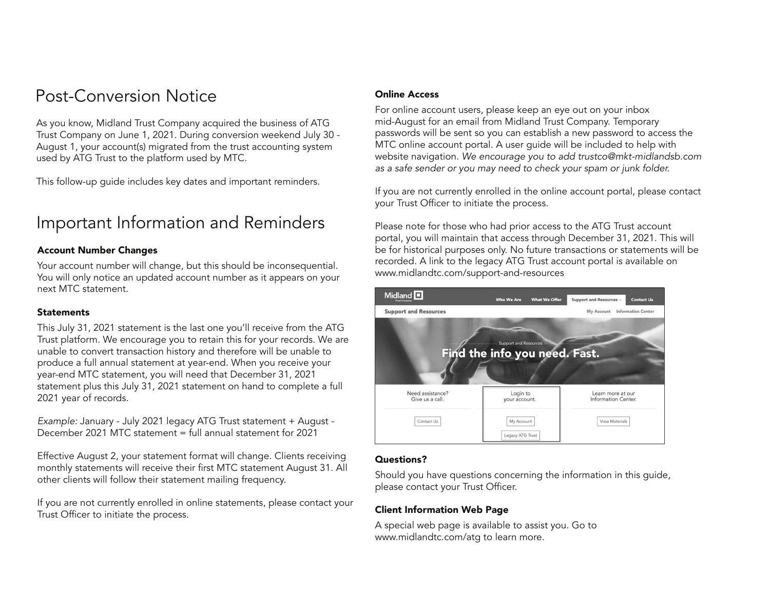# Post-Conversion Notice

As you know, Midland Trust Company acquired the business of ATG Trust Company on June 1, 2021. During conversion weekend July 30 - August 1, your account(s) migrated from the trust accounting system used by ATG Trust to the platform used by MTC.

This follow-up guide includes key dates and important reminders.

# Important Information and Reminders

### Account Number Changes

Your account number will change, but this should be inconsequential. You will only notice an updated account number as it appears on your next MTC statement.

### **Statements**

This July 31, 2021 statement is the last one you'll receive from the ATG Trust platform. We encourage you to retain this for your records. We are unable to convert transaction history and therefore will be unable to produce a full annual statement at year-end. When you receive your year-end MTC statement, you will need that December 31, 2021 statement plus this July 31, 2021 statement on hand to complete a full 2021 year of records.

*Example:* January - July 2021 legacy ATG Trust statement + August - December 2021 MTC statement = full annual statement for 2021

Effective August 2, your statement format will change. Clients receiving monthly statements will receive their first MTC statement August 31. All other clients will follow their statement mailing frequency.

If you are not currently enrolled in online statements, please contact your Trust Officer to initiate the process.

### Online Access

For online account users, please keep an eye out on your inbox mid-August for an email from Midland Trust Company. Temporary passwords will be sent so you can establish a new password to access the MTC online account portal. A user guide will be included to help with website navigation. *We encourage you to add trustco@mkt-midlandsb.com as a safe sender or you may need to check your spam or junk folder.*

If you are not currently enrolled in the online account portal, please contact your Trust Officer to initiate the process.

Please note for those who had prior access to the ATG Trust account portal, you will maintain that access through December 31, 2021. This will be for historical purposes only. No future transactions or statements will be recorded. A link to the legacy ATG Trust account portal is available on www.midlandtc.com/support-and-resources



### Questions?

Should you have questions concerning the information in this guide, please contact your Trust Officer.

## Client Information Web Page

A special web page is available to assist you. Go to www.midlandtc.com/atg to learn more.